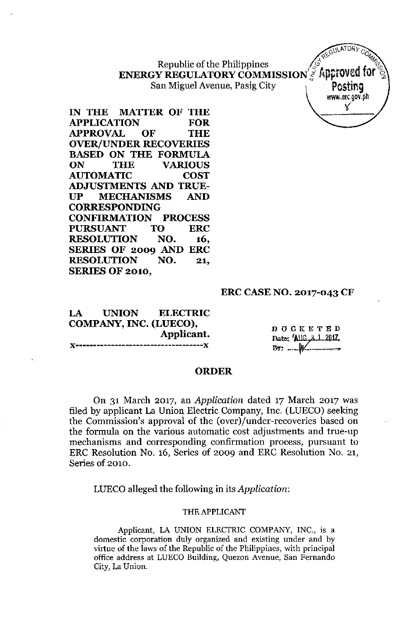~" 0"" Republic of the Philippines ..*.f* '(;'i1 **ENERGY REGULATORYCOMMISSION'S f{pproved for ~** San Miguel Avenue, Pasig City **Posting**

**IN THE MATTER OF THE APPLICATION FOR APPROVAL OF THE OVER/UNDER RECOVERIES BASED ON THE FORMULA ON THE VARIOUS AUTOMATIC COST ADJUSTMENTS AND TRUE-UP MECHANISMS AND CORRESPONDING CONFIRMATION PROCESS PURSUANT TO ERC RESOLUTION NO. 16, SERIES OF 2009 AND ERC RESOLUTION NO. 21, SERIES OF 2010,**

#### **ERC CASE NO. 2017-043 CF**

**LA UNION ELECTRIC COMPANY, INC. (LUECO), Applicant. ](------------------------------------](**

D O C K E T E D Date: Allft, A.1.2017,  $\mathbb{B}$ 

**ADE** 

-<br>-<br>-<br>-

GIlLATORy *C*

Ylww,erc,gov,ph

#### **ORDER**

On 31 March 2017, an *Application* dated 17 March 2017 was filed by applicant La Union Electric Company, Inc. (LUECO) seeking the Commission's approval of the (over)/under-recoveries based on the formula on the various automatic cost adjustments and true-up mechanisms and corresponding confirmation process, pursuant to ERC Resolution No. 16, Series of 2009 and ERC Resolution No. 21, Series of 2010.

LUECO alleged the following in its *Application:*

#### THE APPLICANT

Applicant, LA UNION ELECTRIC COMPANY, INC., is a **domestic corporation duly organized and existing under and by** virtue of the laws of the Republic of the Philippines, with principal **office address at LUECO Building, Quezon Avenue, San Fernando City, La Union.**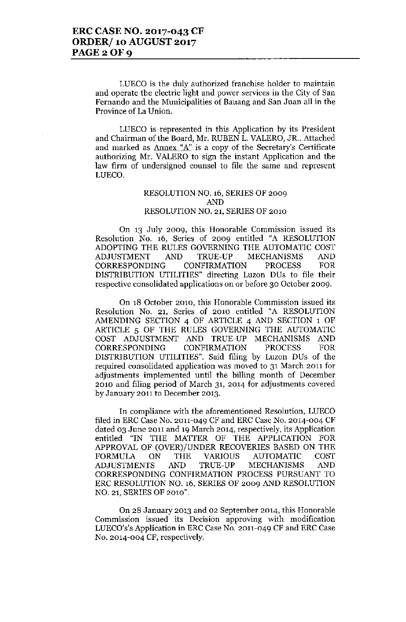**LUEca is the duly authorized franchise holder to maintain and operate the electric light and power services in the City of San Fernando and the Municipalities of Bauang and San Juan all in the Province of La Union.**

**LUEca is represented in this Application by its President** and Chairman of the Board, Mr. RUBEN L. VALERO, JR.. Attached **and marked as Annex "A"is a copy of the Secretary's Certificate** authorizing Mr. VALERO to sign the instant Application and the **law firm of undersigned counsel to file the same and represent** LUECO.

#### RESOLUTION NO. 16, SERIES OF 2009 AND RESOLUTION NO. 21, SERIES OF 2010

**On 13 July 2009, this Honorable Commission issued its** Resolution No. 16, Series of 2009 entitled "A RESOLUTION ADOPTING THE RULES GOVERNING THE AUTOMATIC COST ADJUSTMENT AND TRUE-UP MECHANISMS AND CORRESPONDING CONFIRMATION PROCESS FOR DISTRIBUTION UTILITIES" directing Luzon DUs to file their **respective consolidated applications on or before 30 October 2009\_**

**On 18 October 2010, this Honorable Commission issued its** Resolution No. 21, Series of 2010 entitled "A RESOLUTION AMENDING SECTION 4 OF ARTICLE 4 AND SECTION 1 OF ARTICLE 5 OF THE RULES GOVERNING THE AUTOMATIC COST ADJUSTMENT AND TRUE-UP MECHANISMS AND CORRESPONDING CONFIRMATION PROCESS FOR DISTRIBUTION UTILITIES". Said filing by Luzon DUs of the **required consolidated application was moved to 31 March 2011 for adjustments implemented until the billing month of December 2010 and filing period of March 31, 2014 for adjustments covered by January 2011 to December 2013.**

**In compliance with the aforementioned Resolution, LUECO** filed in ERC Case No. 2011-049 CF and ERC Case No. 2014-004 CF **dated 03 June 2011 and 19 March 2014, respectively, its Application** entitled "IN THE MATTER OF THE APPLICATION FOR APPROVAL OF (OVER)/UNDER RECOVERIES BASED ON THE FORMULA ON THE VARIOUS AUTOMATIC COST ADJUSTMENTS AND TRUE-UP MECHANISMS AND CORRESPONDING CONFIRMATION PROCESS PURSUANT TO ERC RESOLUTION NO. 16, SERIES OF 2009 AND RESOLUTION NO. 21, SERIES OF 2010".

**On 28 January 2013 and 02 September 2014, this Honorable Commission issued its Decision approving with modification** LUECO's's Application in ERC Case No. 2011-049 CF and ERC Case No. 2014-004 CF, respectively.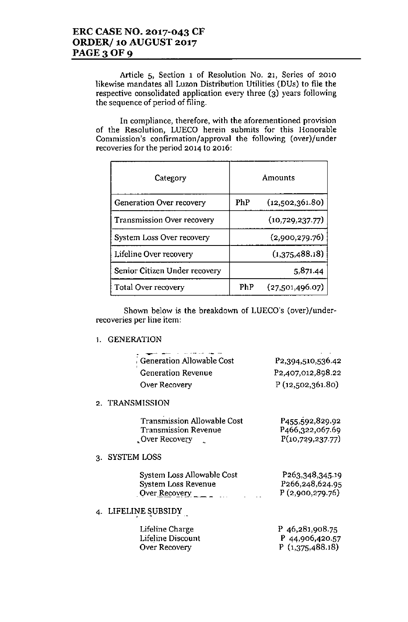**Article 5, Section 1 of Resolution No. 21, Series of 2010** likewise mandates all Luzon Distribution Utilities (DUs) to file the respective consolidated application every three (3) years following the sequence of period of filing.

**In compliance, therefore, with the aforementioned provision** of the Resolution, LUECO herein submits for this Honorable **Commission's confirmation/approval the following (over)/under recoveries for the period 2014 to 2016:**

| Category                      | Amounts |                 |  |
|-------------------------------|---------|-----------------|--|
| Generation Over recovery      | PhP     | (12,502,361.80) |  |
| Transmission Over recovery    |         | (10,729,237.77) |  |
| System Loss Over recovery     |         | (2,900,279.76)  |  |
| Lifeline Over recovery        |         | (1,375,488.18)  |  |
| Senior Citizen Under recovery |         | 5,871.44        |  |
| <b>Total Over recovery</b>    | PhP     | (27,501,496.07) |  |

Shown below is the breakdown of LUECO's (over)/under**recoveries per line item:**

### 1. GENERATION

|    | <b>GENERATION</b>                                                                                                    |                                                                     |
|----|----------------------------------------------------------------------------------------------------------------------|---------------------------------------------------------------------|
|    | Generation Allowable Cost                                                                                            | P2,394,510,536.42                                                   |
|    | <b>Generation Revenue</b>                                                                                            | P <sub>2</sub> ,407,012,898.22                                      |
|    | Over Recovery                                                                                                        | P(12,502,361.80)                                                    |
|    | 2. TRANSMISSION                                                                                                      |                                                                     |
|    | <b>Transmission Allowable Cost</b><br><b>Transmission Revenue</b><br>Over Recovery                                   | P <sub>455</sub> ,592,829.92<br>P466,322,067.69<br>P(10,729,237.77) |
| 3. | <b>SYSTEM LOSS</b>                                                                                                   |                                                                     |
|    | System Loss Allowable Cost<br>System Loss Revenue<br>Over Recovery $\overline{\phantom{a}}$ $\overline{\phantom{a}}$ | P263,348,345.19<br>P266,248,624.95<br>P(2,900,279.76)               |
|    | LIFELINE SUBSIDY                                                                                                     |                                                                     |
|    | Lifeline Charge<br>Lifeline Discount<br>Over Recovery                                                                | P 46,281,908.75<br>P 44,906,420.57<br>P(1,375,488.18)               |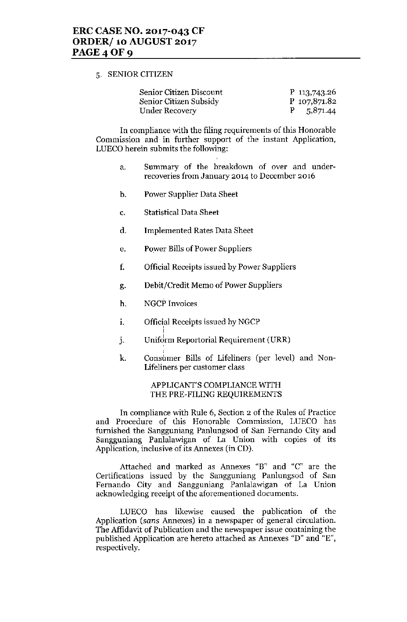#### 5. SENIOR CITIZEN

| Senior Citizen Discount | P $113,743.26$ |
|-------------------------|----------------|
| Senior Citizen Subsidy  | P 107,871.82   |
| Under Recovery          | $P = 5,871.44$ |

In compliance with the filing requirements of this Honorable Commission and in further support of the instant Application, LUECO herein submits the following:

- a. Summary of the breakdown of over and underrecoveries from January 2014 to December 2016
- b. Power Supplier Data Sheet
- C. Statistical Data Sheet
- d. Implemented Rates Data Sheet
- e. Power Bills of Power Suppliers
- f. Official Receipts issued by Power Suppliers
- g. Debit/Credit Memo of Power Suppliers
- h. NGCP Invoices

I

- i. Official Receipts issued by NGCP
- j. Uniform Reportorial Requirement (URR)
- k. Consumer Bills of Lifeliners (per level) and Non-Lifeliners per customer class

#### APPLICANT'S COMPLIANCE WITH THE PRE-FILING REQUIREMENTS

In compliance with Rule 6, Section 2 of the Rules of Practice and Procedure of this Honorable Commission, LUECO has furnished the Sangguniang Panlungsod of San Fernando City and Sangguniang Panlalawigan of La Union with copies of its Application, inclusive of its Annexes (in CD).

Attached and marked as Annexes "B" and "C" are the Certifications issued by the Sangguniang Panlungsod of San Fernando City and Sangguniang Panlalawigan of La Union acknowledging receipt of the aforementioned documents.

LUECO has likewise caused the publication of the Application *(sans* Annexes) in a newspaper of general circulation. The Affidavit of Publication and the newspaper issue containing the published Application are hereto attached as Annexes "D" and "E", respectively.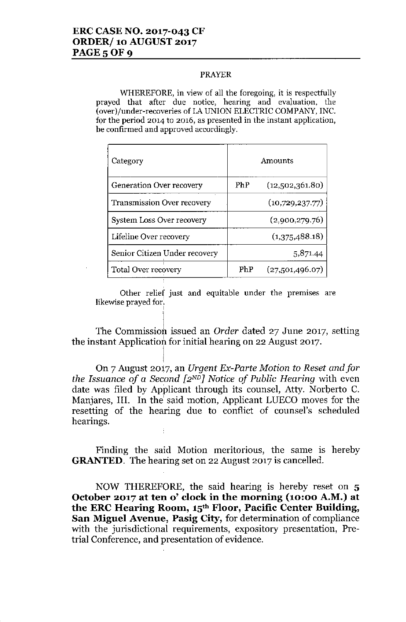#### PRAYER

WHEREFORE, in view of all the foregoing, it is respectfully **prayed that after due notice, hearing and evaluation, the** (aver)/under-recaveries of IA UNION ELECTRIC COMPANY, INC. **for the period 2014 to 2016, as presented in the instant application, be confirmed and approved accordingly.**

| Category                          | Amounts |                 |  |
|-----------------------------------|---------|-----------------|--|
| Generation Over recovery          | PhP     | (12,502,361.80) |  |
| <b>Transmission Over recovery</b> |         | (10,729,237.77) |  |
| System Loss Over recovery         |         | (2,900,279.76)  |  |
| Lifeline Over recovery            |         | (1,375,488.18)  |  |
| Senior Citizen Under recovery     |         | 5,871.44        |  |
| Total Over recovery               | PhP     | (27,501,496.07) |  |

**Other relief just and equitable under the premIses are** likewise prayed for.

I

ł

The Commission issued an *Order* dated 27 June 2017, setting the instant Applicatioh for initial hearing on 22 August 2017.

 $\blacksquare$ On 7 August 20i7, an *Urgent Ex-Parte Motion* to *Reset andfor the Issuance of* a *Second [2ND) Notice of Public Hearing* with even date was filed by Applicant through its counsel, Atty. Norberto C. Manjares, III. In the' said motion, Applicant LUECO moves for the resetting of the hearing due to conflict of counsel's scheduled hearings.

Finding the said Motion meritorious, the same is hereby **GRANTED.** The hearing set on 22 August 2017 is cancelled.

NOW THEREFORE, the said hearing is hereby reset on 5 **October 2017 at ten 0' clock in the morning (10:00 A.M.) at the ERC Hearing Room, 15th Floor, Pacific Center Building, San Miguel Avenue, Pasig City,** for determination of compliance with the jurisdictional requirements, expository presentation, Pretrial Conference, and presentation of evidence.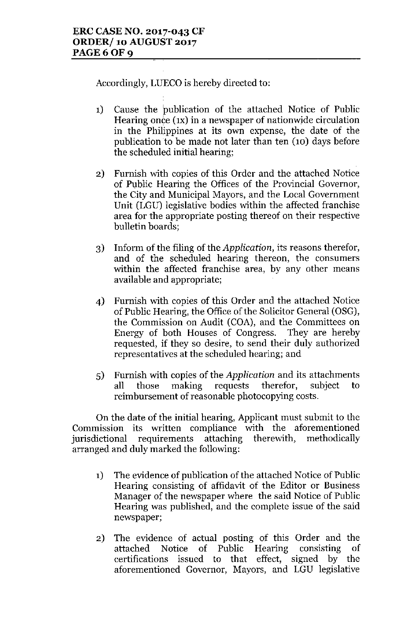Accordingly, LUECO is hereby directed to:

- 1) Cause the publication of the attached Notice of Public Hearing once  $f(x)$  in a newspaper of nationwide circulation in the Philippines at its own expense, the date of the publication to be made not later than ten  $(10)$  days before the scheduled initial hearing;
- 2) Furnish with copies of this Order and the attached Notice of Public Hearing the Offices of the Provincial Governor, the City and Municipal Mayors, and the Local Government Unit (LGU) legislative bodies within the affected franchise area for the appropriate posting thereof on their respective bulletin boards;
- 3) Inform of the filing of the *Application,* its reasons therefor, and of the scheduled hearing thereon, the consumers within the affected franchise area, by any other means available and appropriate;
- 4) Furnish with copies of this Order and the attached Notice of Public Hearing, the Office of the Solicitor General (OSG), the Commission on Audit (COA), and the Committees on Energy of both Houses of Congress. They are hereby requested, if they so desire, to send their duly authorized representatives at the scheduled hearing; and
- 5) Furnish with copies of the *Application* and its attachments all those making requests therefor, subject to reimbursement of reasonable photocopying costs.

On the date of the initial hearing, Applicant must submit to the Commission its written compliance with the aforementioned<br>jurisdictional requirements attaching therewith. methodically jurisdictional requirements attaching arranged and duly marked the following:

- 1) The evidence of publication of the attached Notice of Public Hearing consisting of affidavit of the Editor or Business Manager of the newspaper where the said Notice of Public Hearing was published, and the complete issue of the said newspaper;
- 2) The evidence of actual posting of this Order and the attached Notice of Public Hearing consisting of certifications issued to that effect, signed by the aforementioned Governor, Mayors, and LGU legislative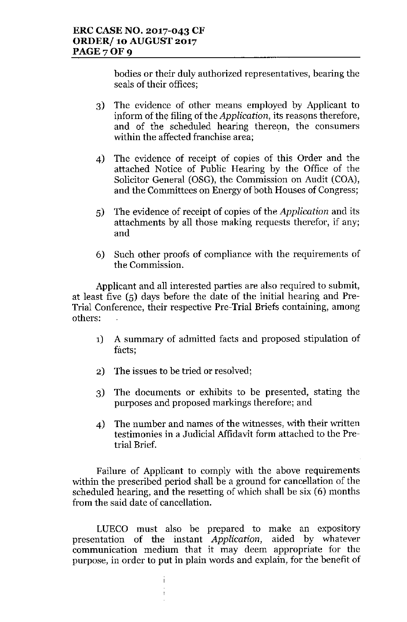bodies or their duly authorized representatives, bearing the seals of their offices;

- 3) The evidence of other means employed by Applicant to inform of the filing of the *Application,* its reasons therefore, and of the scheduled hearing thereon, the consumers within the affected franchise area;
- 4) The evidence of receipt of copies of this Order and the attached Notice of Public Hearing by the Office of the Solicitor General (OSG), the Commission on Audit (COA), and the Committees on Energy of both Houses of Congress;
- 5) The evidence of receipt of copies of the *Application* and its attachments by all those making requests therefor, if any; and
- 6) Such other proofs of compliance with the requirements of the Commission.

Applicant and all interested parties are also required to submit, at least five (5) days before the date of the initial hearing and Pre-Trial Conference, their respective Pre-Trial Briefs containing, among others:

- 1) A summary of admitted facts and proposed stipulation of facts;
- 2) The issues to be tried or resolved;
- 3) The documents or exhibits to be presented, stating the purposes and proposed markings therefore; and
- 4) The number and names of the witnesses, with their written testimonies in a Judicial Affidavit form attached to the Pretrial Brief.

Failure of Applicant to comply with the above requirements within the prescribed period shall be a ground for cancellation of the scheduled hearing, and the resetting of which shall be six (6) months from the said date of cancellation.

LUECO must also be prepared to make an expository presentation of the instant *Application,* aided by whatever communication medium that it may deem appropriate for the purpose, in order to put in plain words and explain, for the benefit of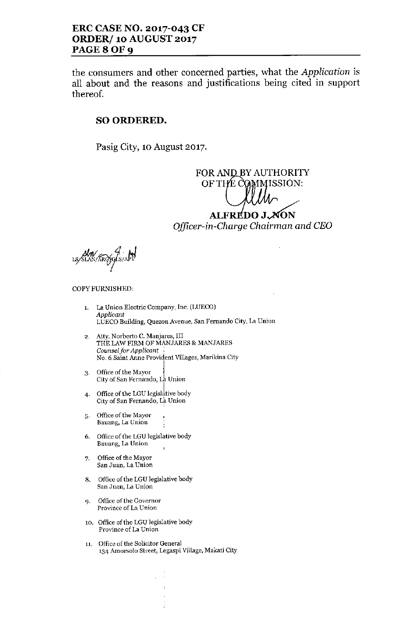## ERC CASE NO. 2017-043 CF ORDER/ 10 AUGUST 2017 PAGE 8 OF 9

the consumers and other concerned parties, what the *Application* is all about and the reasons and justifications being cited in support thereof.

## SO ORDERED.

Pasig City, 10 August 2017.

FOR AND BY AUTHORIT OF THE COMMISSION

# ALFREDO J.AON *Officer-in-Charge Chairman and CEO*

us/slaw/ARgyGls/APV

#### COPY FURNISHED:

- 1. La Union Electric Company, Inc. (LUECO) *Applicant* LUECO Building, Quezon Avenue, San Fernando City, La Union
- 2. Atty. Norberto C. Manjares, III THE LAW FIRM OF MANJARES & MANJARES *Counsel for Applicant* NO.6 Saint Anne Provident Villages, Marikina City
- 3. Office of the Mayor City of San Fernando, La Union
- 4. Office of the LGU legislative body City of San Fernando, La Union
- 5. Office of the Mayor Bauang, La Union
- 6. Office of the LGU legislative body Bauang, La Union
- 7. Office of the Mayor San Juan, La Union
- 8. Office of the LCU legislative body San Juan, La Union
- 9. Office of the Governor Province of La Union
- 10. Office of the LGU legislative body Province of La Union
- 11. Office of the Solicitor General 134 Amorsolo Street, Legaspi Village, Makati City